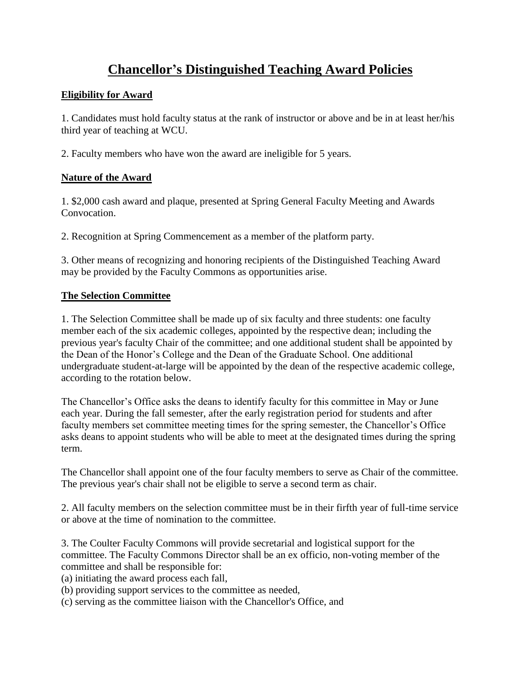## **Chancellor's Distinguished Teaching Award Policies**

## **Eligibility for Award**

1. Candidates must hold faculty status at the rank of instructor or above and be in at least her/his third year of teaching at WCU.

2. Faculty members who have won the award are ineligible for 5 years.

## **Nature of the Award**

1. \$2,000 cash award and plaque, presented at Spring General Faculty Meeting and Awards Convocation.

2. Recognition at Spring Commencement as a member of the platform party.

3. Other means of recognizing and honoring recipients of the Distinguished Teaching Award may be provided by the Faculty Commons as opportunities arise.

## **The Selection Committee**

1. The Selection Committee shall be made up of six faculty and three students: one faculty member each of the six academic colleges, appointed by the respective dean; including the previous year's faculty Chair of the committee; and one additional student shall be appointed by the Dean of the Honor's College and the Dean of the Graduate School. One additional undergraduate student-at-large will be appointed by the dean of the respective academic college, according to the rotation below.

The Chancellor's Office asks the deans to identify faculty for this committee in May or June each year. During the fall semester, after the early registration period for students and after faculty members set committee meeting times for the spring semester, the Chancellor's Office asks deans to appoint students who will be able to meet at the designated times during the spring term.

The Chancellor shall appoint one of the four faculty members to serve as Chair of the committee. The previous year's chair shall not be eligible to serve a second term as chair.

2. All faculty members on the selection committee must be in their firfth year of full-time service or above at the time of nomination to the committee.

3. The Coulter Faculty Commons will provide secretarial and logistical support for the committee. The Faculty Commons Director shall be an ex officio, non-voting member of the committee and shall be responsible for:

(a) initiating the award process each fall,

(b) providing support services to the committee as needed,

(c) serving as the committee liaison with the Chancellor's Office, and